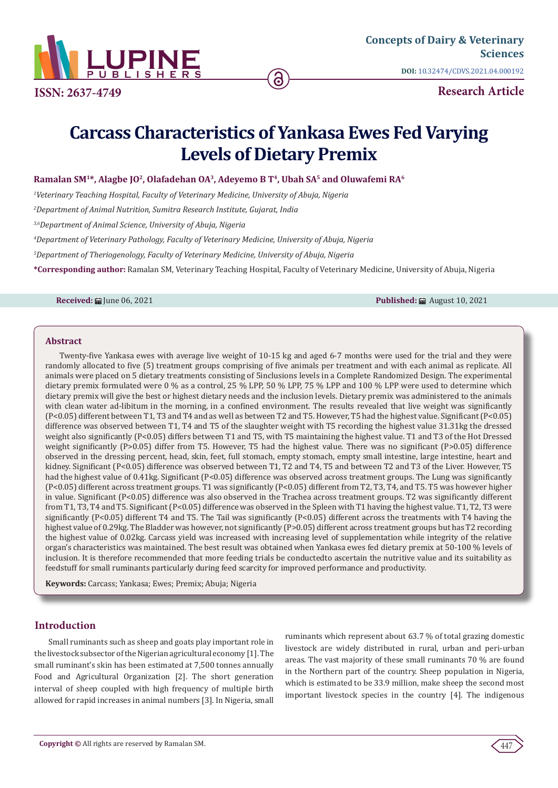

**ISSN: 2637-4749**

**DOI:** [10.32474/CDVS.2021.04.0001](http://dx.doi.org/10.32474/CDVS.2021.04.000192)92

**Research Article**

# **Carcass Characteristics of Yankasa Ewes Fed Varying Levels of Dietary Premix**

Ramalan SM<sup>1\*</sup>, Alagbe JO<sup>2</sup>, Olafadehan OA<sup>3</sup>, Adeyemo B T<sup>4</sup>, Ubah SA<sup>5</sup> and Oluwafemi RA<sup>6</sup>

*1 Veterinary Teaching Hospital, Faculty of Veterinary Medicine, University of Abuja, Nigeria*

*2 Department of Animal Nutrition, Sumitra Research Institute, Gujarat, India*

*3,6Department of Animal Science, University of Abuja, Nigeria*

*4 Department of Veterinary Pathology, Faculty of Veterinary Medicine, University of Abuja, Nigeria*

*5 Department of Theriogenology, Faculty of Veterinary Medicine, University of Abuja, Nigeria*

**\*Corresponding author:** Ramalan SM, Veterinary Teaching Hospital, Faculty of Veterinary Medicine, University of Abuja, Nigeria

**Received:** ■ June 06, 2021 **Published:** ■ August 10, 2021 **Published:** ■ August 10, 2021

#### **Abstract**

Twenty-five Yankasa ewes with average live weight of 10-15 kg and aged 6-7 months were used for the trial and they were randomly allocated to five (5) treatment groups comprising of five animals per treatment and with each animal as replicate. All animals were placed on 5 dietary treatments consisting of 5inclusions levels in a Complete Randomized Design. The experimental dietary premix formulated were 0 % as a control, 25 % LPP, 50 % LPP, 75 % LPP and 100 % LPP were used to determine which dietary premix will give the best or highest dietary needs and the inclusion levels. Dietary premix was administered to the animals with clean water ad-libitum in the morning, in a confined environment. The results revealed that live weight was significantly (P<0.05) different between T1, T3 and T4 and as well as between T2 and T5. However, T5 had the highest value. Significant (P<0.05) difference was observed between T1, T4 and T5 of the slaughter weight with T5 recording the highest value 31.31kg the dressed weight also significantly (P<0.05) differs between T1 and T5, with T5 maintaining the highest value. T1 and T3 of the Hot Dressed weight significantly (P>0.05) differ from T5. However, T5 had the highest value. There was no significant (P>0.05) difference observed in the dressing percent, head, skin, feet, full stomach, empty stomach, empty small intestine, large intestine, heart and kidney. Significant (P<0.05) difference was observed between T1, T2 and T4, T5 and between T2 and T3 of the Liver. However, T5 had the highest value of 0.41kg. Significant (P<0.05) difference was observed across treatment groups. The Lung was significantly (P<0.05) different across treatment groups. T1 was significantly (P<0.05) different from T2, T3, T4, and T5. T5 was however higher in value. Significant (P<0.05) difference was also observed in the Trachea across treatment groups. T2 was significantly different from T1, T3, T4 and T5. Significant (P<0.05) difference was observed in the Spleen with T1 having the highest value. T1, T2, T3 were significantly (P<0.05) different T4 and T5. The Tail was significantly (P<0.05) different across the treatments with T4 having the highest value of 0.29kg. The Bladder was however, not significantly (P>0.05) different across treatment groups but has T2 recording the highest value of 0.02kg. Carcass yield was increased with increasing level of supplementation while integrity of the relative organ's characteristics was maintained. The best result was obtained when Yankasa ewes fed dietary premix at 50-100 % levels of inclusion. It is therefore recommended that more feeding trials be conductedto ascertain the nutritive value and its suitability as feedstuff for small ruminants particularly during feed scarcity for improved performance and productivity.

**Keywords:** Carcass; Yankasa; Ewes; Premix; Abuja; Nigeria

# **Introduction**

Small ruminants such as sheep and goats play important role in the livestock subsector of the Nigerian agricultural economy [1]. The small ruminant's skin has been estimated at 7,500 tonnes annually Food and Agricultural Organization [2]. The short generation interval of sheep coupled with high frequency of multiple birth allowed for rapid increases in animal numbers [3]. In Nigeria, small

ruminants which represent about 63.7 % of total grazing domestic livestock are widely distributed in rural, urban and peri-urban areas. The vast majority of these small ruminants 70 % are found in the Northern part of the country. Sheep population in Nigeria, which is estimated to be 33.9 million, make sheep the second most important livestock species in the country [4]. The indigenous

447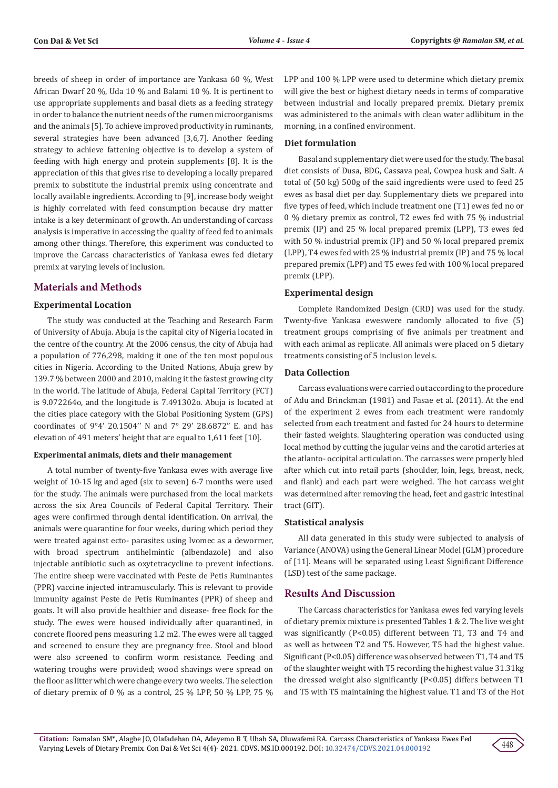breeds of sheep in order of importance are Yankasa 60 %, West African Dwarf 20 %, Uda 10 % and Balami 10 %. It is pertinent to use appropriate supplements and basal diets as a feeding strategy in order to balance the nutrient needs of the rumen microorganisms and the animals [5]. To achieve improved productivity in ruminants, several strategies have been advanced [3,6,7]. Another feeding strategy to achieve fattening objective is to develop a system of feeding with high energy and protein supplements [8]. It is the appreciation of this that gives rise to developing a locally prepared premix to substitute the industrial premix using concentrate and locally available ingredients. According to [9], increase body weight is highly correlated with feed consumption because dry matter intake is a key determinant of growth. An understanding of carcass analysis is imperative in accessing the quality of feed fed to animals among other things. Therefore, this experiment was conducted to improve the Carcass characteristics of Yankasa ewes fed dietary premix at varying levels of inclusion.

# **Materials and Methods**

# **Experimental Location**

The study was conducted at the Teaching and Research Farm of University of Abuja. Abuja is the capital city of Nigeria located in the centre of the country. At the 2006 census, the city of Abuja had a population of 776,298, making it one of the ten most populous cities in Nigeria. According to the United Nations, Abuja grew by 139.7 % between 2000 and 2010, making it the fastest growing city in the world. The latitude of Abuja, Federal Capital Territory (FCT) is 9.072264o, and the longitude is 7.491302o. Abuja is located at the cities place category with the Global Positioning System (GPS) coordinates of 9°4' 20.1504'' N and 7° 29' 28.6872'' E. and has elevation of 491 meters' height that are equal to 1,611 feet [10].

### **Experimental animals, diets and their management**

A total number of twenty-five Yankasa ewes with average live weight of 10-15 kg and aged (six to seven) 6-7 months were used for the study. The animals were purchased from the local markets across the six Area Councils of Federal Capital Territory. Their ages were confirmed through dental identification. On arrival, the animals were quarantine for four weeks, during which period they were treated against ecto- parasites using Ivomec as a dewormer, with broad spectrum antihelmintic (albendazole) and also injectable antibiotic such as oxytetracycline to prevent infections. The entire sheep were vaccinated with Peste de Petis Ruminantes (PPR) vaccine injected intramuscularly. This is relevant to provide immunity against Peste de Petis Ruminantes (PPR) of sheep and goats. It will also provide healthier and disease- free flock for the study. The ewes were housed individually after quarantined, in concrete floored pens measuring 1.2 m2. The ewes were all tagged and screened to ensure they are pregnancy free. Stool and blood were also screened to confirm worm resistance. Feeding and watering troughs were provided; wood shavings were spread on the floor as litter which were change every two weeks. The selection of dietary premix of 0 % as a control, 25 % LPP, 50 % LPP, 75 %

LPP and 100 % LPP were used to determine which dietary premix will give the best or highest dietary needs in terms of comparative between industrial and locally prepared premix. Dietary premix was administered to the animals with clean water adlibitum in the morning, in a confined environment.

#### **Diet formulation**

Basal and supplementary diet were used for the study. The basal diet consists of Dusa, BDG, Cassava peal, Cowpea husk and Salt. A total of (50 kg) 500g of the said ingredients were used to feed 25 ewes as basal diet per day. Supplementary diets we prepared into five types of feed, which include treatment one (T1) ewes fed no or 0 % dietary premix as control, T2 ewes fed with 75 % industrial premix (IP) and 25 % local prepared premix (LPP), T3 ewes fed with 50 % industrial premix (IP) and 50 % local prepared premix (LPP), T4 ewes fed with 25 % industrial premix (IP) and 75 % local prepared premix (LPP) and T5 ewes fed with 100 % local prepared premix (LPP).

#### **Experimental design**

Complete Randomized Design (CRD) was used for the study. Twenty-five Yankasa eweswere randomly allocated to five (5) treatment groups comprising of five animals per treatment and with each animal as replicate. All animals were placed on 5 dietary treatments consisting of 5 inclusion levels.

# **Data Collection**

Carcass evaluations were carried out according to the procedure of Adu and Brinckman (1981) and Fasae et al. (2011). At the end of the experiment 2 ewes from each treatment were randomly selected from each treatment and fasted for 24 hours to determine their fasted weights. Slaughtering operation was conducted using local method by cutting the jugular veins and the carotid arteries at the atlanto- occipital articulation. The carcasses were properly bled after which cut into retail parts (shoulder, loin, legs, breast, neck, and flank) and each part were weighed. The hot carcass weight was determined after removing the head, feet and gastric intestinal tract (GIT).

#### **Statistical analysis**

All data generated in this study were subjected to analysis of Variance (ANOVA) using the General Linear Model (GLM) procedure of [11]. Means will be separated using Least Significant Difference (LSD) test of the same package.

# **Results And Discussion**

The Carcass characteristics for Yankasa ewes fed varying levels of dietary premix mixture is presented Tables 1 & 2. The live weight was significantly (P<0.05) different between T1, T3 and T4 and as well as between T2 and T5. However, T5 had the highest value. Significant (P<0.05) difference was observed between T1, T4 and T5 of the slaughter weight with T5 recording the highest value 31.31kg the dressed weight also significantly (P<0.05) differs between T1 and T5 with T5 maintaining the highest value. T1 and T3 of the Hot

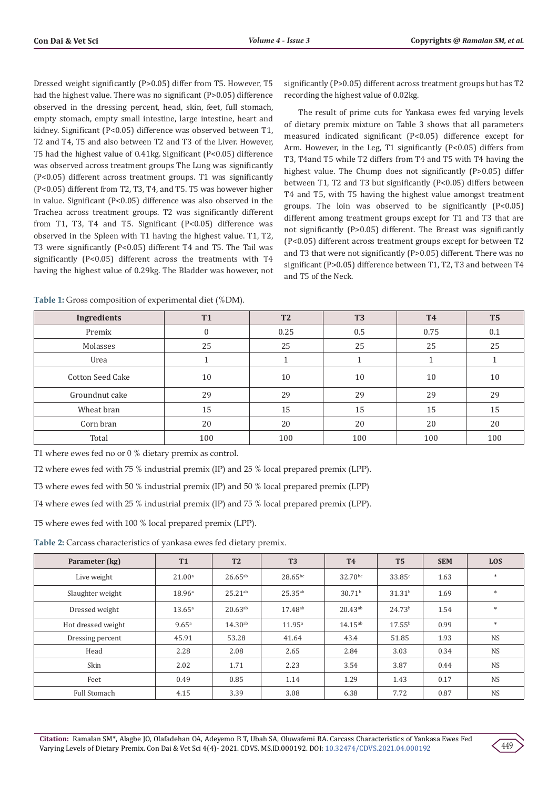Dressed weight significantly (P>0.05) differ from T5. However, T5 had the highest value. There was no significant (P>0.05) difference observed in the dressing percent, head, skin, feet, full stomach, empty stomach, empty small intestine, large intestine, heart and kidney. Significant (P<0.05) difference was observed between T1, T2 and T4, T5 and also between T2 and T3 of the Liver. However, T5 had the highest value of 0.41kg. Significant (P<0.05) difference was observed across treatment groups The Lung was significantly (P<0.05) different across treatment groups. T1 was significantly (P<0.05) different from T2, T3, T4, and T5. T5 was however higher in value. Significant (P<0.05) difference was also observed in the Trachea across treatment groups. T2 was significantly different from T1, T3, T4 and T5. Significant (P<0.05) difference was observed in the Spleen with T1 having the highest value. T1, T2, T3 were significantly (P<0.05) different T4 and T5. The Tail was significantly (P<0.05) different across the treatments with T4 having the highest value of 0.29kg. The Bladder was however, not

**Table 1:** Gross composition of experimental diet (%DM).

significantly (P>0.05) different across treatment groups but has T2 recording the highest value of 0.02kg.

The result of prime cuts for Yankasa ewes fed varying levels of dietary premix mixture on Table 3 shows that all parameters measured indicated significant (P<0.05) difference except for Arm. However, in the Leg, T1 significantly (P<0.05) differs from T3, T4and T5 while T2 differs from T4 and T5 with T4 having the highest value. The Chump does not significantly (P>0.05) differ between T1, T2 and T3 but significantly (P<0.05) differs between T4 and T5, with T5 having the highest value amongst treatment groups. The loin was observed to be significantly (P<0.05) different among treatment groups except for T1 and T3 that are not significantly (P>0.05) different. The Breast was significantly (P<0.05) different across treatment groups except for between T2 and T3 that were not significantly (P>0.05) different. There was no significant (P>0.05) difference between T1, T2, T3 and between T4 and T5 of the Neck.

| Ingredients             | <b>T1</b> | <b>T2</b> | T <sub>3</sub> | <b>T4</b> | T <sub>5</sub> |
|-------------------------|-----------|-----------|----------------|-----------|----------------|
| Premix                  | 0         | 0.25      | 0.5            | 0.75      | 0.1            |
| Molasses                | 25        | 25        | 25             | 25        | 25             |
| Urea                    |           |           |                |           |                |
| <b>Cotton Seed Cake</b> | 10        | 10        | 10             | 10        | 10             |
| Groundnut cake          | 29        | 29        | 29             | 29        | 29             |
| Wheat bran              | 15        | 15        | 15             | 15        | 15             |
| Corn bran               | 20        | 20        | 20             | 20        | 20             |
| Total                   | 100       | 100       | 100            | 100       | 100            |

T1 where ewes fed no or 0 % dietary premix as control.

T2 where ewes fed with 75 % industrial premix (IP) and 25 % local prepared premix (LPP).

T3 where ewes fed with 50 % industrial premix (IP) and 50 % local prepared premix (LPP)

T4 where ewes fed with 25 % industrial premix (IP) and 75 % local prepared premix (LPP).

T5 where ewes fed with 100 % local prepared premix (LPP).

**Table 2:** Carcass characteristics of yankasa ewes fed dietary premix.

| Parameter (kg)     | <b>T1</b>          | <b>T2</b>    | T <sub>3</sub>  | <b>T4</b>          | T <sub>5</sub>     | <b>SEM</b> | <b>LOS</b> |
|--------------------|--------------------|--------------|-----------------|--------------------|--------------------|------------|------------|
| Live weight        | 21.00 <sup>a</sup> | $26.65^{ab}$ | $28.65^{bc}$    | $32.70^{bc}$       | 33.85c             | 1.63       | $\ast$     |
| Slaughter weight   | 18.96 <sup>a</sup> | $25.21^{ab}$ | $25.35^{ab}$    | 30.71 <sup>b</sup> | 31.31 <sup>b</sup> | 1.69       | $\ast$     |
| Dressed weight     | $13.65^{\circ}$    | $20.63^{ab}$ | $17.48^{ab}$    | $20.43^{ab}$       | 24.73 <sup>b</sup> | 1.54       | $\ast$     |
| Hot dressed weight | 9.65 <sup>a</sup>  | $14.30^{ab}$ | $11.95^{\circ}$ | $14.15^{ab}$       | $17.55^{\rm b}$    | 0.99       | $\ast$     |
| Dressing percent   | 45.91              | 53.28        | 41.64           | 43.4               | 51.85              | 1.93       | <b>NS</b>  |
| Head               | 2.28               | 2.08         | 2.65            | 2.84               | 3.03               | 0.34       | <b>NS</b>  |
| Skin               | 2.02               | 1.71         | 2.23            | 3.54               | 3.87               | 0.44       | <b>NS</b>  |
| Feet               | 0.49               | 0.85         | 1.14            | 1.29               | 1.43               | 0.17       | <b>NS</b>  |
| Full Stomach       | 4.15               | 3.39         | 3.08            | 6.38               | 7.72               | 0.87       | <b>NS</b>  |

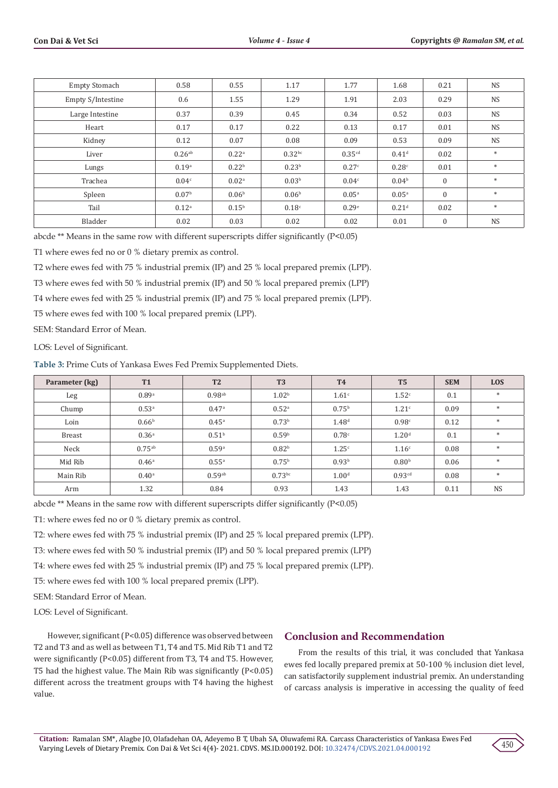| <b>Empty Stomach</b> | 0.58                 | 0.55              | 1.17               | 1.77               | 1.68              | 0.21         | <b>NS</b> |
|----------------------|----------------------|-------------------|--------------------|--------------------|-------------------|--------------|-----------|
| Empty S/Intestine    | 0.6                  | 1.55              | 1.29               | 1.91               | 2.03              | 0.29         | <b>NS</b> |
| Large Intestine      | 0.37                 | 0.39              | 0.45               | 0.34               | 0.52              | 0.03         | <b>NS</b> |
| Heart                | 0.17                 | 0.17              | 0.22               | 0.13               | 0.17              | 0.01         | <b>NS</b> |
| Kidney               | 0.12                 | 0.07              | 0.08               | 0.09               | 0.53              | 0.09         | <b>NS</b> |
| Liver                | $0.26$ <sup>ab</sup> | 0.22 <sup>a</sup> | 0.32 <sup>bc</sup> | 0.35 <sup>cd</sup> | 0.41 <sup>d</sup> | 0.02         | $\ast$    |
| Lungs                | 0.19 <sup>a</sup>    | 0.22 <sup>b</sup> | 0.23 <sup>b</sup>  | 0.27c              | 0.28c             | 0.01         | $\ast$    |
| Trachea              | 0.04 <sup>c</sup>    | 0.02 <sup>a</sup> | 0.03 <sup>b</sup>  | 0.04 <sup>c</sup>  | 0.04 <sup>b</sup> | $\mathbf{0}$ | $\ast$    |
| Spleen               | 0.07 <sup>b</sup>    | 0.06 <sup>b</sup> | 0.06 <sup>b</sup>  | $0.05^{a}$         | 0.05 <sup>a</sup> | $\mathbf{0}$ | $\ast$    |
| Tail                 | $0.12^{a}$           | 0.15 <sup>b</sup> | 0.18 <sup>c</sup>  | 0.29e              | 0.21 <sup>d</sup> | 0.02         | $\ast$    |
| Bladder              | 0.02                 | 0.03              | 0.02               | 0.02               | 0.01              | $\mathbf{0}$ | <b>NS</b> |

abcde \*\* Means in the same row with different superscripts differ significantly (P<0.05)

T1 where ewes fed no or 0 % dietary premix as control.

T2 where ewes fed with 75 % industrial premix (IP) and 25 % local prepared premix (LPP).

T3 where ewes fed with 50 % industrial premix (IP) and 50 % local prepared premix (LPP)

T4 where ewes fed with 25 % industrial premix (IP) and 75 % local prepared premix (LPP).

T5 where ewes fed with 100 % local prepared premix (LPP).

SEM: Standard Error of Mean.

LOS: Level of Significant.

**Table 3:** Prime Cuts of Yankasa Ewes Fed Premix Supplemented Diets.

| Parameter (kg) | <b>T1</b>         | T <sub>2</sub>       | T <sub>3</sub>    | <b>T4</b>         | T <sub>5</sub>     | <b>SEM</b> | <b>LOS</b> |
|----------------|-------------------|----------------------|-------------------|-------------------|--------------------|------------|------------|
| Leg            | 0.89a             | $0.98$ <sup>ab</sup> | 1.02 <sup>b</sup> | 1.61 <sup>c</sup> | 1.52 <sup>c</sup>  | 0.1        | $\ast$     |
| Chump          | 0.53 <sup>a</sup> | 0.47a                | 0.52 <sup>a</sup> | 0.75 <sup>b</sup> | 1.21 <sup>c</sup>  | 0.09       | $\ast$     |
| Loin           | 0.66 <sup>b</sup> | $0.45^{\rm a}$       | 0.73 <sup>b</sup> | 1.48 <sup>d</sup> | 0.98c              | 0.12       |            |
| <b>Breast</b>  | 0.36 <sup>a</sup> | 0.51 <sup>b</sup>    | 0.59 <sup>b</sup> | 0.78c             | 1.20 <sup>d</sup>  | 0.1        | $\ast$     |
| Neck           | $0.75^{ab}$       | 0.59a                | 0.82 <sup>b</sup> | 1.25c             | 1.16 <sup>c</sup>  | 0.08       | $*$        |
| Mid Rib        | 0.46 <sup>a</sup> | $0.55^{a}$           | $0.75^{\rm b}$    | 0.93 <sup>b</sup> | 0.80 <sup>b</sup>  | 0.06       | $*$        |
| Main Rib       | $0.40^{\rm a}$    | $0.59^{ab}$          | $0.73$ bc         | 1.00 <sup>d</sup> | 0.93 <sup>cd</sup> | 0.08       | $*$        |
| Arm            | 1.32              | 0.84                 | 0.93              | 1.43              | 1.43               | 0.11       | <b>NS</b>  |

abcde \*\* Means in the same row with different superscripts differ significantly (P<0.05)

T1: where ewes fed no or 0 % dietary premix as control.

T2: where ewes fed with 75 % industrial premix (IP) and 25 % local prepared premix (LPP).

T3: where ewes fed with 50 % industrial premix (IP) and 50 % local prepared premix (LPP)

T4: where ewes fed with 25 % industrial premix (IP) and 75 % local prepared premix (LPP).

T5: where ewes fed with 100 % local prepared premix (LPP).

SEM: Standard Error of Mean.

LOS: Level of Significant.

However, significant (P<0.05) difference was observed between T2 and T3 and as well as between T1, T4 and T5. Mid Rib T1 and T2 were significantly (P<0.05) different from T3, T4 and T5. However, T5 had the highest value. The Main Rib was significantly (P<0.05) different across the treatment groups with T4 having the highest value.

# **Conclusion and Recommendation**

From the results of this trial, it was concluded that Yankasa ewes fed locally prepared premix at 50-100 % inclusion diet level, can satisfactorily supplement industrial premix. An understanding of carcass analysis is imperative in accessing the quality of feed